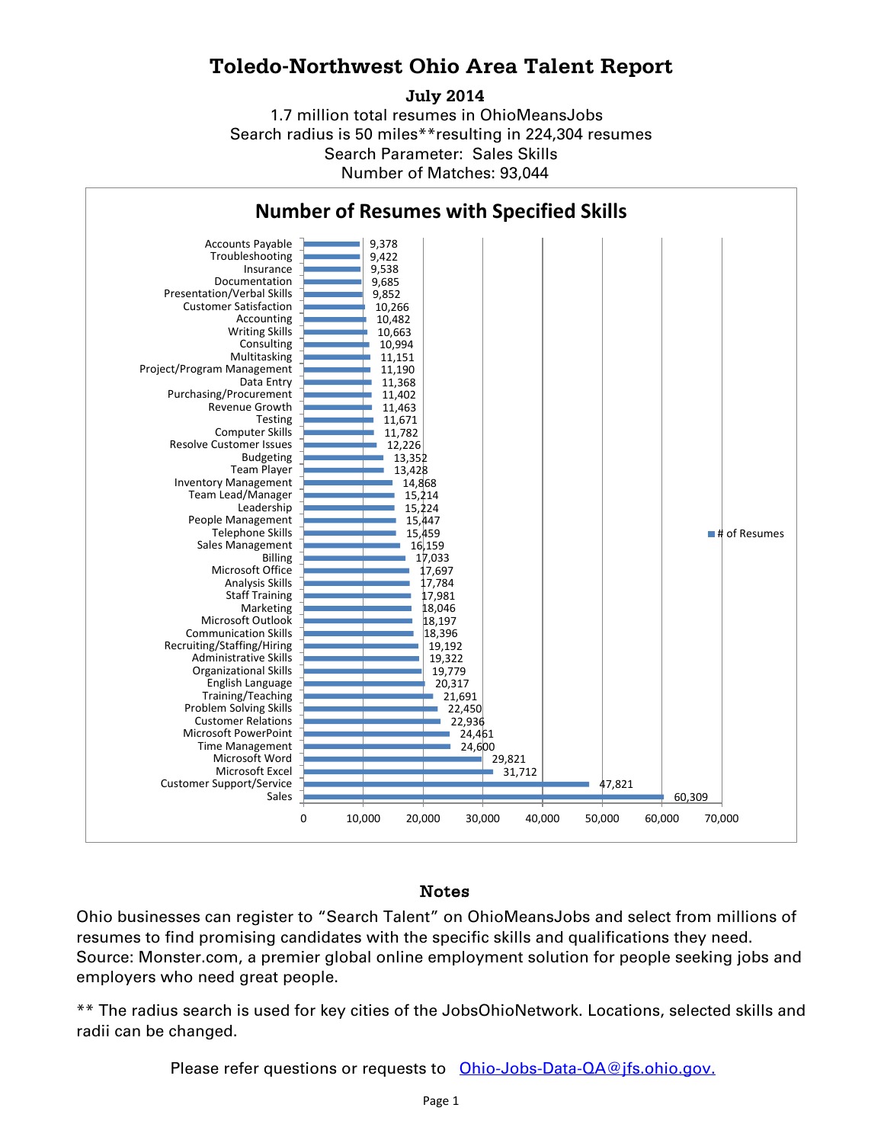## **Toledo-Northwest Ohio Area Talent Report**

**July 2014**

1.7 million total resumes in OhioMeansJobs Search radius is 50 miles\*\*resulting in 224,304 resumes Number of Matches: 93,044 Search Parameter: Sales Skills



## Notes

Ohio businesses can register to "Search Talent" on OhioMeansJobs and select from millions of resumes to find promising candidates with the specific skills and qualifications they need. Source: Monster.com, a premier global online employment solution for people seeking jobs and employers who need great people.

\*\* The radius search is used for key cities of the JobsOhioNetwork. Locations, selected skills and radii can be changed.

Please refer questions or requests to [Ohio-Jobs-Data-QA@jfs.ohio.gov.](mailto:Ohio-Jobs-Data-QA@jfs.ohio.gov.)